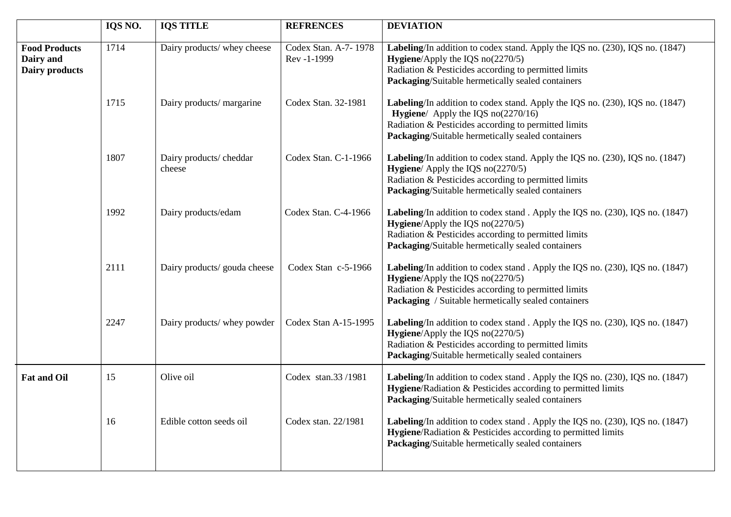|                                                     | IQS NO. | <b>IQS TITLE</b>                 | <b>REFRENCES</b>                    | <b>DEVIATION</b>                                                                                                                                                                                                                          |
|-----------------------------------------------------|---------|----------------------------------|-------------------------------------|-------------------------------------------------------------------------------------------------------------------------------------------------------------------------------------------------------------------------------------------|
| <b>Food Products</b><br>Dairy and<br>Dairy products | 1714    | Dairy products/ whey cheese      | Codex Stan. A-7-1978<br>Rev -1-1999 | Labeling/In addition to codex stand. Apply the IQS no. (230), IQS no. (1847)<br><b>Hygiene</b> /Apply the IQS $no(2270/5)$<br>Radiation & Pesticides according to permitted limits<br>Packaging/Suitable hermetically sealed containers   |
|                                                     | 1715    | Dairy products/ margarine        | Codex Stan. 32-1981                 | Labeling/In addition to codex stand. Apply the IQS no. (230), IQS no. (1847)<br><b>Hygiene</b> / Apply the IQS $no(2270/16)$<br>Radiation & Pesticides according to permitted limits<br>Packaging/Suitable hermetically sealed containers |
|                                                     | 1807    | Dairy products/cheddar<br>cheese | Codex Stan. C-1-1966                | Labeling/In addition to codex stand. Apply the IQS no. (230), IQS no. (1847)<br><b>Hygiene</b> / Apply the IQS $no(2270/5)$<br>Radiation & Pesticides according to permitted limits<br>Packaging/Suitable hermetically sealed containers  |
|                                                     | 1992    | Dairy products/edam              | Codex Stan. C-4-1966                | Labeling/In addition to codex stand. Apply the IQS no. (230), IQS no. (1847)<br><b>Hygiene</b> /Apply the IQS $no(2270/5)$<br>Radiation & Pesticides according to permitted limits<br>Packaging/Suitable hermetically sealed containers   |
|                                                     | 2111    | Dairy products/ gouda cheese     | Codex Stan c-5-1966                 | Labeling/In addition to codex stand. Apply the IQS no. (230), IQS no. (1847)<br><b>Hygiene</b> /Apply the IQS $no(2270/5)$<br>Radiation & Pesticides according to permitted limits<br>Packaging / Suitable hermetically sealed containers |
|                                                     | 2247    | Dairy products/ whey powder      | Codex Stan A-15-1995                | Labeling/In addition to codex stand. Apply the IQS no. (230), IQS no. (1847)<br><b>Hygiene</b> /Apply the IQS $no(2270/5)$<br>Radiation & Pesticides according to permitted limits<br>Packaging/Suitable hermetically sealed containers   |
| <b>Fat and Oil</b>                                  | 15      | Olive oil                        | Codex stan.33/1981                  | Labeling/In addition to codex stand. Apply the IQS no. (230), IQS no. (1847)<br>Hygiene/Radiation & Pesticides according to permitted limits<br>Packaging/Suitable hermetically sealed containers                                         |
|                                                     | 16      | Edible cotton seeds oil          | Codex stan. 22/1981                 | Labeling/In addition to codex stand. Apply the IQS no. (230), IQS no. (1847)<br>Hygiene/Radiation & Pesticides according to permitted limits<br>Packaging/Suitable hermetically sealed containers                                         |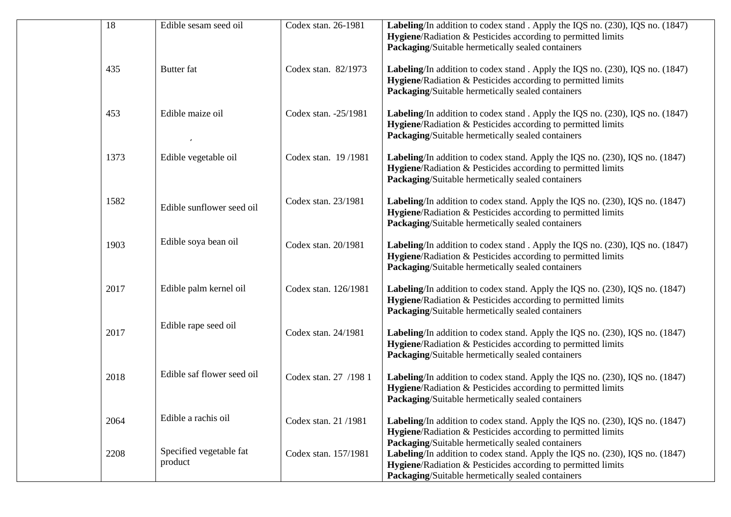| 18   | Edible sesam seed oil              | Codex stan. 26-1981   | <b>Labeling</b> /In addition to codex stand. Apply the IQS no. (230), IQS no. (1847)<br>Hygiene/Radiation & Pesticides according to permitted limits<br>Packaging/Suitable hermetically sealed containers                                              |
|------|------------------------------------|-----------------------|--------------------------------------------------------------------------------------------------------------------------------------------------------------------------------------------------------------------------------------------------------|
| 435  | <b>Butter</b> fat                  | Codex stan. 82/1973   | Labeling/In addition to codex stand. Apply the IQS no. (230), IQS no. (1847)<br>Hygiene/Radiation & Pesticides according to permitted limits<br>Packaging/Suitable hermetically sealed containers                                                      |
| 453  | Edible maize oil                   | Codex stan. -25/1981  | Labeling/In addition to codex stand. Apply the IQS no. (230), IQS no. (1847)<br>Hygiene/Radiation & Pesticides according to permitted limits<br>Packaging/Suitable hermetically sealed containers                                                      |
| 1373 | Edible vegetable oil               | Codex stan. 19/1981   | Labeling/In addition to codex stand. Apply the IQS no. (230), IQS no. (1847)<br>Hygiene/Radiation & Pesticides according to permitted limits<br>Packaging/Suitable hermetically sealed containers                                                      |
| 1582 | Edible sunflower seed oil          | Codex stan. 23/1981   | Labeling/In addition to codex stand. Apply the IQS no. (230), IQS no. (1847)<br>Hygiene/Radiation & Pesticides according to permitted limits<br>Packaging/Suitable hermetically sealed containers                                                      |
| 1903 | Edible soya bean oil               | Codex stan. 20/1981   | Labeling/In addition to codex stand. Apply the IQS no. (230), IQS no. (1847)<br>Hygiene/Radiation & Pesticides according to permitted limits<br>Packaging/Suitable hermetically sealed containers                                                      |
| 2017 | Edible palm kernel oil             | Codex stan. 126/1981  | Labeling/In addition to codex stand. Apply the IQS no. (230), IQS no. (1847)<br>Hygiene/Radiation & Pesticides according to permitted limits<br>Packaging/Suitable hermetically sealed containers                                                      |
| 2017 | Edible rape seed oil               | Codex stan. 24/1981   | Labeling/In addition to codex stand. Apply the IQS no. (230), IQS no. (1847)<br>Hygiene/Radiation & Pesticides according to permitted limits<br>Packaging/Suitable hermetically sealed containers                                                      |
| 2018 | Edible saf flower seed oil         | Codex stan. 27 /198 1 | Labeling/In addition to codex stand. Apply the IQS no. (230), IQS no. (1847)<br>Hygiene/Radiation & Pesticides according to permitted limits<br>Packaging/Suitable hermetically sealed containers                                                      |
| 2064 | Edible a rachis oil                | Codex stan. 21/1981   | <b>Labeling</b> /In addition to codex stand. Apply the IQS no. (230), IQS no. (1847)<br>Hygiene/Radiation & Pesticides according to permitted limits                                                                                                   |
| 2208 | Specified vegetable fat<br>product | Codex stan. 157/1981  | Packaging/Suitable hermetically sealed containers<br>Labeling/In addition to codex stand. Apply the IQS no. (230), IQS no. (1847)<br>Hygiene/Radiation & Pesticides according to permitted limits<br>Packaging/Suitable hermetically sealed containers |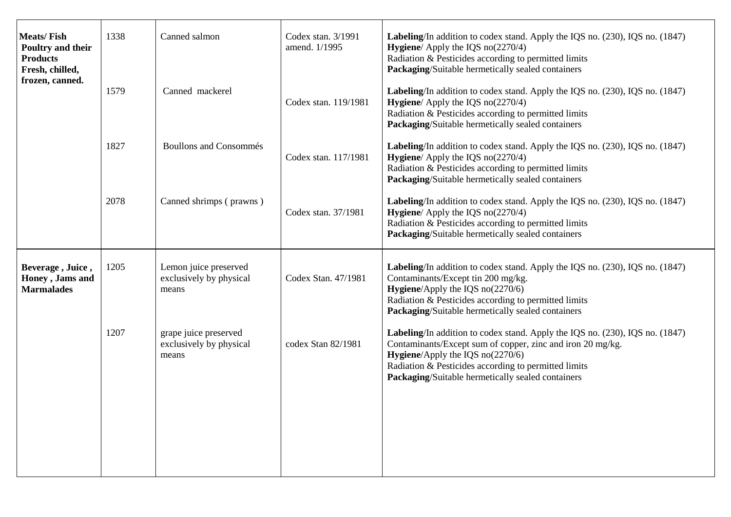| <b>Meats/Fish</b><br>Poultry and their<br><b>Products</b><br>Fresh, chilled,<br>frozen, canned. | 1338<br>1579 | Canned salmon<br>Canned mackerel                          | Codex stan. 3/1991<br>amend. 1/1995<br>Codex stan. 119/1981 | Labeling/In addition to codex stand. Apply the IQS no. (230), IQS no. (1847)<br><b>Hygiene</b> / Apply the IQS $no(2270/4)$<br>Radiation & Pesticides according to permitted limits<br>Packaging/Suitable hermetically sealed containers<br>Labeling/In addition to codex stand. Apply the IQS no. (230), IQS no. (1847)<br>Hygiene/ Apply the IQS no(2270/4)<br>Radiation & Pesticides according to permitted limits |
|-------------------------------------------------------------------------------------------------|--------------|-----------------------------------------------------------|-------------------------------------------------------------|-----------------------------------------------------------------------------------------------------------------------------------------------------------------------------------------------------------------------------------------------------------------------------------------------------------------------------------------------------------------------------------------------------------------------|
|                                                                                                 | 1827         | <b>Boullons and Consommés</b>                             | Codex stan. 117/1981                                        | Packaging/Suitable hermetically sealed containers<br>Labeling/In addition to codex stand. Apply the IQS no. (230), IQS no. (1847)<br><b>Hygiene</b> / Apply the IQS $no(2270/4)$<br>Radiation & Pesticides according to permitted limits<br>Packaging/Suitable hermetically sealed containers                                                                                                                         |
|                                                                                                 | 2078         | Canned shrimps (prawns)                                   | Codex stan. 37/1981                                         | Labeling/In addition to codex stand. Apply the IQS no. (230), IQS no. (1847)<br>Hygiene/ Apply the IQS no(2270/4)<br>Radiation & Pesticides according to permitted limits<br>Packaging/Suitable hermetically sealed containers                                                                                                                                                                                        |
| Beverage, Juice,<br>Honey, Jams and<br><b>Marmalades</b>                                        | 1205         | Lemon juice preserved<br>exclusively by physical<br>means | Codex Stan. 47/1981                                         | Labeling/In addition to codex stand. Apply the IQS no. (230), IQS no. (1847)<br>Contaminants/Except tin 200 mg/kg.<br><b>Hygiene</b> /Apply the IQS $no(2270/6)$<br>Radiation & Pesticides according to permitted limits<br>Packaging/Suitable hermetically sealed containers                                                                                                                                         |
|                                                                                                 | 1207         | grape juice preserved<br>exclusively by physical<br>means | codex Stan 82/1981                                          | Labeling/In addition to codex stand. Apply the IQS no. (230), IQS no. (1847)<br>Contaminants/Except sum of copper, zinc and iron 20 mg/kg.<br><b>Hygiene</b> /Apply the IQS $no(2270/6)$<br>Radiation & Pesticides according to permitted limits<br>Packaging/Suitable hermetically sealed containers                                                                                                                 |
|                                                                                                 |              |                                                           |                                                             |                                                                                                                                                                                                                                                                                                                                                                                                                       |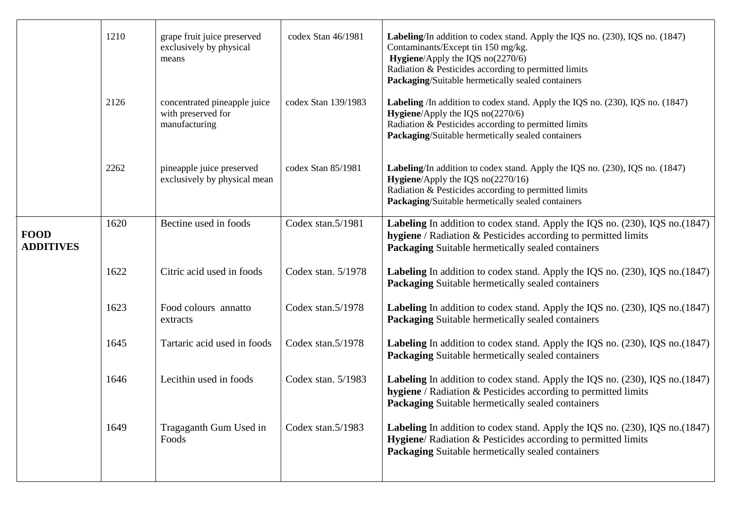|                                 | 1210 | grape fruit juice preserved<br>exclusively by physical<br>means     | codex Stan 46/1981   | Labeling/In addition to codex stand. Apply the IQS no. (230), IQS no. (1847)<br>Contaminants/Except tin 150 mg/kg.<br>Hygiene/Apply the IQS no(2270/6)<br>Radiation & Pesticides according to permitted limits<br>Packaging/Suitable hermetically sealed containers |
|---------------------------------|------|---------------------------------------------------------------------|----------------------|---------------------------------------------------------------------------------------------------------------------------------------------------------------------------------------------------------------------------------------------------------------------|
|                                 | 2126 | concentrated pineapple juice<br>with preserved for<br>manufacturing | codex Stan 139/1983  | Labeling /In addition to codex stand. Apply the IQS no. (230), IQS no. (1847)<br>Hygiene/Apply the IQS no(2270/6)<br>Radiation & Pesticides according to permitted limits<br>Packaging/Suitable hermetically sealed containers                                      |
|                                 | 2262 | pineapple juice preserved<br>exclusively by physical mean           | codex Stan 85/1981   | Labeling/In addition to codex stand. Apply the IQS no. (230), IQS no. (1847)<br><b>Hygiene</b> /Apply the IQS $no(2270/16)$<br>Radiation & Pesticides according to permitted limits<br>Packaging/Suitable hermetically sealed containers                            |
| <b>FOOD</b><br><b>ADDITIVES</b> | 1620 | Bectine used in foods                                               | Codex stan.5/1981    | Labeling In addition to codex stand. Apply the IQS no. (230), IQS no. (1847)<br><b>hygiene</b> / Radiation & Pesticides according to permitted limits<br><b>Packaging Suitable hermetically sealed containers</b>                                                   |
|                                 | 1622 | Citric acid used in foods                                           | Codex stan. $5/1978$ | <b>Labeling</b> In addition to codex stand. Apply the IQS no. (230), IQS no. (1847)<br>Packaging Suitable hermetically sealed containers                                                                                                                            |
|                                 | 1623 | Food colours annatto<br>extracts                                    | Codex stan. $5/1978$ | <b>Labeling</b> In addition to codex stand. Apply the IQS no. (230), IQS no. (1847)<br><b>Packaging Suitable hermetically sealed containers</b>                                                                                                                     |
|                                 | 1645 | Tartaric acid used in foods                                         | Codex stan. $5/1978$ | <b>Labeling</b> In addition to codex stand. Apply the IQS no. (230), IQS no. (1847)<br><b>Packaging Suitable hermetically sealed containers</b>                                                                                                                     |
|                                 | 1646 | Lecithin used in foods                                              | Codex stan. $5/1983$ | <b>Labeling</b> In addition to codex stand. Apply the IQS no. (230), IQS no. (1847)<br>hygiene / Radiation & Pesticides according to permitted limits<br><b>Packaging Suitable hermetically sealed containers</b>                                                   |
|                                 | 1649 | Tragaganth Gum Used in<br>Foods                                     | Codex stan.5/1983    | <b>Labeling</b> In addition to codex stand. Apply the IQS no. (230), IQS no. (1847)<br>Hygiene/Radiation & Pesticides according to permitted limits<br>Packaging Suitable hermetically sealed containers                                                            |
|                                 |      |                                                                     |                      |                                                                                                                                                                                                                                                                     |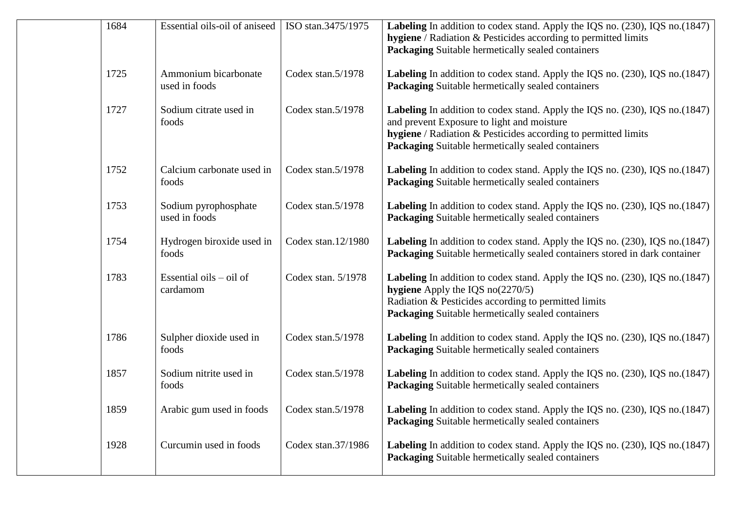| 1684 | Essential oils-oil of aniseed                | ISO stan.3475/1975 | <b>Labeling</b> In addition to codex stand. Apply the IQS no. (230), IQS no. (1847)<br>hygiene / Radiation & Pesticides according to permitted limits<br>Packaging Suitable hermetically sealed containers                                               |
|------|----------------------------------------------|--------------------|----------------------------------------------------------------------------------------------------------------------------------------------------------------------------------------------------------------------------------------------------------|
| 1725 | Ammonium bicarbonate<br>used in foods        | Codex stan.5/1978  | <b>Labeling</b> In addition to codex stand. Apply the IQS no. (230), IQS no. (1847)<br>Packaging Suitable hermetically sealed containers                                                                                                                 |
| 1727 | Sodium citrate used in<br>foods              | Codex stan.5/1978  | <b>Labeling</b> In addition to codex stand. Apply the IQS no. (230), IQS no. (1847)<br>and prevent Exposure to light and moisture<br>hygiene / Radiation & Pesticides according to permitted limits<br>Packaging Suitable hermetically sealed containers |
| 1752 | Calcium carbonate used in<br>foods           | Codex stan.5/1978  | <b>Labeling</b> In addition to codex stand. Apply the IQS no. (230), IQS no. (1847)<br>Packaging Suitable hermetically sealed containers                                                                                                                 |
| 1753 | Sodium pyrophosphate<br>used in foods        | Codex stan.5/1978  | <b>Labeling</b> In addition to codex stand. Apply the IQS no. (230), IQS no. (1847)<br><b>Packaging Suitable hermetically sealed containers</b>                                                                                                          |
| 1754 | Hydrogen biroxide used in<br>foods           | Codex stan.12/1980 | Labeling In addition to codex stand. Apply the IQS no. (230), IQS no. (1847)<br>Packaging Suitable hermetically sealed containers stored in dark container                                                                                               |
| 1783 | Essential oils $-$ oil of<br>cardamom        | Codex stan. 5/1978 | <b>Labeling</b> In addition to codex stand. Apply the IQS no. (230), IQS no. (1847)<br><b>hygiene</b> Apply the IQS $no(2270/5)$<br>Radiation & Pesticides according to permitted limits<br>Packaging Suitable hermetically sealed containers            |
| 1786 | Sulpher dioxide used in<br>foods             | Codex stan.5/1978  | <b>Labeling</b> In addition to codex stand. Apply the IQS no. (230), IQS no. (1847)<br><b>Packaging Suitable hermetically sealed containers</b>                                                                                                          |
| 1857 | Sodium nitrite used in<br>foods              | Codex stan.5/1978  | Labeling In addition to codex stand. Apply the IQS no. (230), IQS no. (1847)<br><b>Packaging Suitable hermetically sealed containers</b>                                                                                                                 |
| 1859 | Arabic gum used in foods   Codex stan.5/1978 |                    | Labeling In addition to codex stand. Apply the IQS no. (230), IQS no. (1847)<br><b>Packaging Suitable hermetically sealed containers</b>                                                                                                                 |
| 1928 | Curcumin used in foods                       | Codex stan.37/1986 | <b>Labeling</b> In addition to codex stand. Apply the IQS no. (230), IQS no. (1847)<br><b>Packaging Suitable hermetically sealed containers</b>                                                                                                          |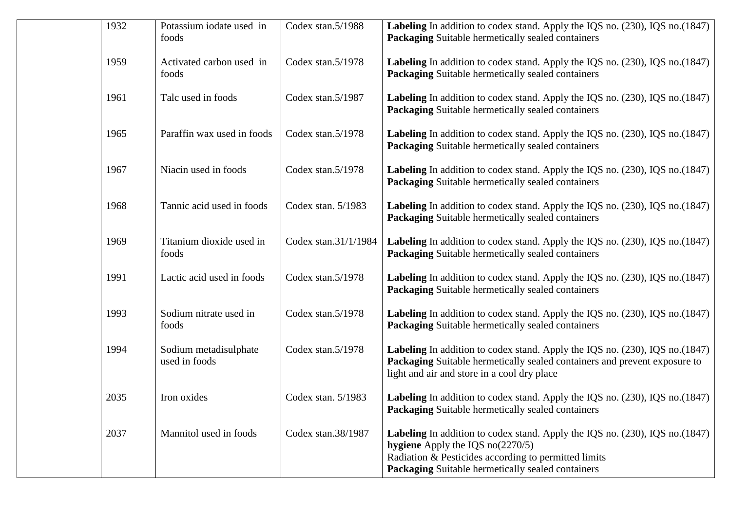| 1932 | Potassium iodate used in<br>foods      | Codex stan.5/1988    | Labeling In addition to codex stand. Apply the IQS no. (230), IQS no. (1847)<br>Packaging Suitable hermetically sealed containers                                                                                                      |
|------|----------------------------------------|----------------------|----------------------------------------------------------------------------------------------------------------------------------------------------------------------------------------------------------------------------------------|
|      |                                        |                      |                                                                                                                                                                                                                                        |
| 1959 | Activated carbon used in<br>foods      | Codex stan.5/1978    | <b>Labeling</b> In addition to codex stand. Apply the IQS no. (230), IQS no. (1847)<br><b>Packaging Suitable hermetically sealed containers</b>                                                                                        |
| 1961 | Talc used in foods                     | Codex stan.5/1987    | Labeling In addition to codex stand. Apply the IQS no. (230), IQS no. (1847)<br>Packaging Suitable hermetically sealed containers                                                                                                      |
| 1965 | Paraffin wax used in foods             | Codex stan.5/1978    | <b>Labeling</b> In addition to codex stand. Apply the IQS no. (230), IQS no. (1847)<br><b>Packaging Suitable hermetically sealed containers</b>                                                                                        |
| 1967 | Niacin used in foods                   | Codex stan.5/1978    | <b>Labeling</b> In addition to codex stand. Apply the IQS no. (230), IQS no. (1847)<br>Packaging Suitable hermetically sealed containers                                                                                               |
| 1968 | Tannic acid used in foods              | Codex stan. 5/1983   | Labeling In addition to codex stand. Apply the IQS no. (230), IQS no. (1847)<br><b>Packaging Suitable hermetically sealed containers</b>                                                                                               |
| 1969 | Titanium dioxide used in<br>foods      | Codex stan.31/1/1984 | <b>Labeling</b> In addition to codex stand. Apply the IQS no. (230), IQS no. (1847)<br>Packaging Suitable hermetically sealed containers                                                                                               |
| 1991 | Lactic acid used in foods              | Codex stan.5/1978    | <b>Labeling</b> In addition to codex stand. Apply the IQS no. (230), IQS no. (1847)<br>Packaging Suitable hermetically sealed containers                                                                                               |
| 1993 | Sodium nitrate used in<br>foods        | Codex stan.5/1978    | <b>Labeling</b> In addition to codex stand. Apply the IQS no. (230), IQS no. (1847)<br>Packaging Suitable hermetically sealed containers                                                                                               |
| 1994 | Sodium metadisulphate<br>used in foods | Codex stan.5/1978    | Labeling In addition to codex stand. Apply the IQS no. (230), IQS no. (1847)<br>Packaging Suitable hermetically sealed containers and prevent exposure to<br>light and air and store in a cool dry place                               |
| 2035 | Iron oxides                            | Codex stan. 5/1983   | Labeling In addition to codex stand. Apply the IQS no. (230), IQS no. (1847)<br>Packaging Suitable hermetically sealed containers                                                                                                      |
| 2037 | Mannitol used in foods                 | Codex stan.38/1987   | <b>Labeling</b> In addition to codex stand. Apply the IQS no. (230), IQS no. (1847)<br>hygiene Apply the IQS $no(2270/5)$<br>Radiation & Pesticides according to permitted limits<br>Packaging Suitable hermetically sealed containers |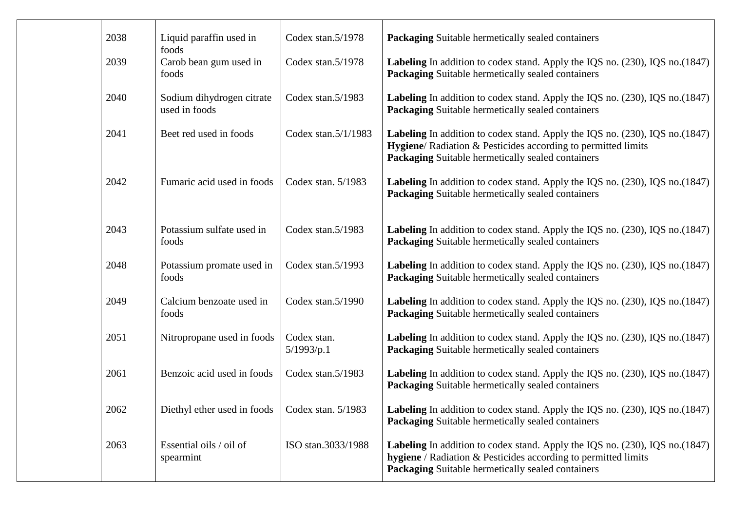| 2038 | Liquid paraffin used in<br>foods                 | Codex stan.5/1978         | <b>Packaging Suitable hermetically sealed containers</b>                                                                                                                                                          |
|------|--------------------------------------------------|---------------------------|-------------------------------------------------------------------------------------------------------------------------------------------------------------------------------------------------------------------|
| 2039 | Carob bean gum used in<br>foods                  | Codex stan.5/1978         | <b>Labeling</b> In addition to codex stand. Apply the IQS no. (230), IQS no. (1847)<br><b>Packaging Suitable hermetically sealed containers</b>                                                                   |
| 2040 | Sodium dihydrogen citrate<br>used in foods       | Codex stan.5/1983         | <b>Labeling</b> In addition to codex stand. Apply the IQS no. (230), IQS no. (1847)<br>Packaging Suitable hermetically sealed containers                                                                          |
| 2041 | Beet red used in foods                           | Codex stan.5/1/1983       | <b>Labeling</b> In addition to codex stand. Apply the IQS no. (230), IQS no. (1847)<br>Hygiene/ Radiation & Pesticides according to permitted limits<br>Packaging Suitable hermetically sealed containers         |
| 2042 | Fumaric acid used in foods                       | Codex stan. $5/1983$      | <b>Labeling</b> In addition to codex stand. Apply the IQS no. (230), IQS no. (1847)<br>Packaging Suitable hermetically sealed containers                                                                          |
| 2043 | Potassium sulfate used in<br>foods               | Codex stan.5/1983         | Labeling In addition to codex stand. Apply the IQS no. (230), IQS no. (1847)<br><b>Packaging Suitable hermetically sealed containers</b>                                                                          |
| 2048 | Potassium promate used in<br>foods               | Codex stan.5/1993         | <b>Labeling</b> In addition to codex stand. Apply the IQS no. (230), IQS no. (1847)<br><b>Packaging Suitable hermetically sealed containers</b>                                                                   |
| 2049 | Calcium benzoate used in<br>foods                | Codex stan.5/1990         | <b>Labeling</b> In addition to codex stand. Apply the IQS no. (230), IQS no. (1847)<br><b>Packaging Suitable hermetically sealed containers</b>                                                                   |
| 2051 | Nitropropane used in foods                       | Codex stan.<br>5/1993/p.1 | <b>Labeling</b> In addition to codex stand. Apply the IQS no. (230), IQS no. (1847)<br>Packaging Suitable hermetically sealed containers                                                                          |
| 2061 | Benzoic acid used in foods                       | Codex stan.5/1983         | <b>Labeling</b> In addition to codex stand. Apply the IQS no. (230), IQS no. (1847)<br>Packaging Suitable hermetically sealed containers                                                                          |
| 2062 | Diethyl ether used in foods   Codex stan. 5/1983 |                           | Labeling In addition to codex stand. Apply the IQS no. (230), IQS no. (1847)<br><b>Packaging Suitable hermetically sealed containers</b>                                                                          |
| 2063 | Essential oils / oil of<br>spearmint             | ISO stan.3033/1988        | <b>Labeling</b> In addition to codex stand. Apply the IQS no. (230), IQS no. (1847)<br><b>hygiene</b> / Radiation & Pesticides according to permitted limits<br>Packaging Suitable hermetically sealed containers |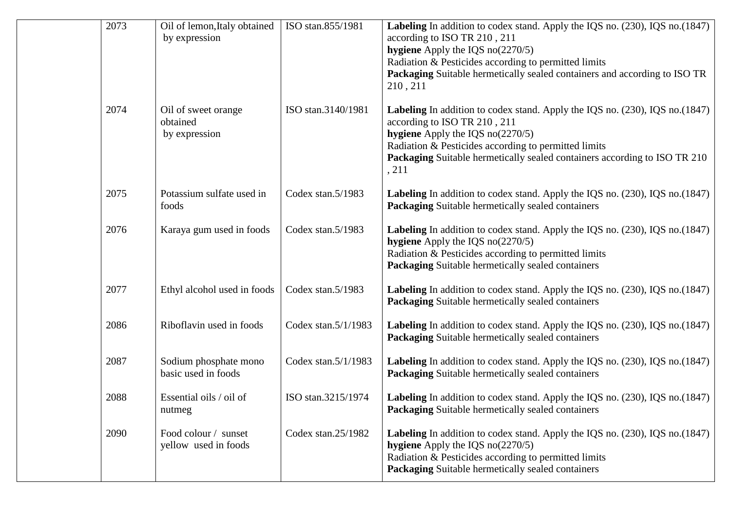| 2073 | Oil of lemon, Italy obtained<br>by expression    | ISO stan.855/1981   | <b>Labeling</b> In addition to codex stand. Apply the IQS no. (230), IQS no. (1847)<br>according to ISO TR 210, 211<br>hygiene Apply the IQS $no(2270/5)$<br>Radiation & Pesticides according to permitted limits<br>Packaging Suitable hermetically sealed containers and according to ISO TR<br>210, 211 |
|------|--------------------------------------------------|---------------------|------------------------------------------------------------------------------------------------------------------------------------------------------------------------------------------------------------------------------------------------------------------------------------------------------------|
| 2074 | Oil of sweet orange<br>obtained<br>by expression | ISO stan.3140/1981  | Labeling In addition to codex stand. Apply the IQS no. (230), IQS no. (1847)<br>according to ISO TR 210, 211<br>hygiene Apply the IQS $no(2270/5)$<br>Radiation & Pesticides according to permitted limits<br>Packaging Suitable hermetically sealed containers according to ISO TR 210<br>, 211           |
| 2075 | Potassium sulfate used in<br>foods               | Codex stan.5/1983   | Labeling In addition to codex stand. Apply the IQS no. (230), IQS no. (1847)<br><b>Packaging Suitable hermetically sealed containers</b>                                                                                                                                                                   |
| 2076 | Karaya gum used in foods                         | Codex stan.5/1983   | Labeling In addition to codex stand. Apply the IQS no. (230), IQS no. (1847)<br>hygiene Apply the IQS $no(2270/5)$<br>Radiation & Pesticides according to permitted limits<br><b>Packaging Suitable hermetically sealed containers</b>                                                                     |
| 2077 | Ethyl alcohol used in foods                      | Codex stan.5/1983   | <b>Labeling</b> In addition to codex stand. Apply the IQS no. (230), IQS no. (1847)<br><b>Packaging Suitable hermetically sealed containers</b>                                                                                                                                                            |
| 2086 | Riboflavin used in foods                         | Codex stan.5/1/1983 | <b>Labeling</b> In addition to codex stand. Apply the IQS no. (230), IQS no. (1847)<br><b>Packaging Suitable hermetically sealed containers</b>                                                                                                                                                            |
| 2087 | Sodium phosphate mono<br>basic used in foods     | Codex stan.5/1/1983 | Labeling In addition to codex stand. Apply the IQS no. (230), IQS no. (1847)<br><b>Packaging Suitable hermetically sealed containers</b>                                                                                                                                                                   |
| 2088 | Essential oils / oil of<br>nutmeg                | ISO stan.3215/1974  | <b>Labeling</b> In addition to codex stand. Apply the IQS no. (230), IQS no. (1847)<br>Packaging Suitable hermetically sealed containers                                                                                                                                                                   |
| 2090 | Food colour / sunset<br>yellow used in foods     | Codex stan.25/1982  | Labeling In addition to codex stand. Apply the IQS no. (230), IQS no. (1847)<br>hygiene Apply the IQS $no(2270/5)$<br>Radiation & Pesticides according to permitted limits<br>Packaging Suitable hermetically sealed containers                                                                            |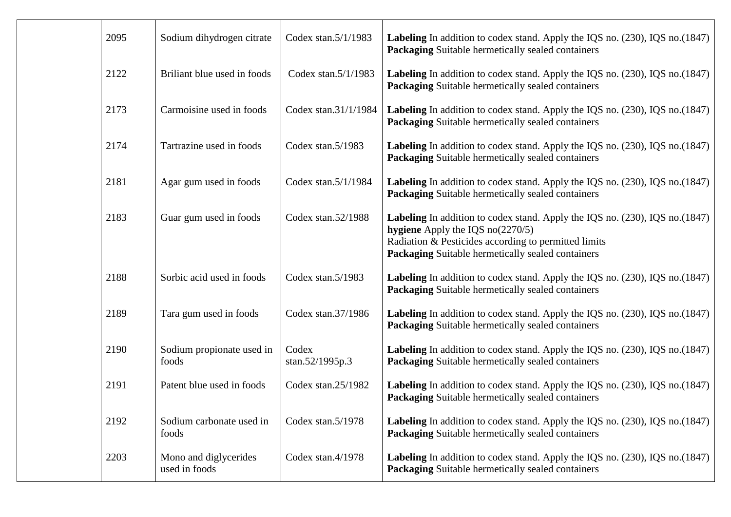| 2095 | Sodium dihydrogen citrate              | Codex stan.5/1/1983      | <b>Labeling</b> In addition to codex stand. Apply the IQS no. (230), IQS no. (1847)<br>Packaging Suitable hermetically sealed containers                                                                                               |
|------|----------------------------------------|--------------------------|----------------------------------------------------------------------------------------------------------------------------------------------------------------------------------------------------------------------------------------|
| 2122 | Briliant blue used in foods            | Codex stan.5/1/1983      | Labeling In addition to codex stand. Apply the IQS no. (230), IQS no. (1847)<br>Packaging Suitable hermetically sealed containers                                                                                                      |
| 2173 | Carmoisine used in foods               | Codex stan.31/1/1984     | <b>Labeling</b> In addition to codex stand. Apply the IQS no. (230), IQS no. (1847)<br>Packaging Suitable hermetically sealed containers                                                                                               |
| 2174 | Tartrazine used in foods               | Codex stan.5/1983        | Labeling In addition to codex stand. Apply the IQS no. (230), IQS no. (1847)<br>Packaging Suitable hermetically sealed containers                                                                                                      |
| 2181 | Agar gum used in foods                 | Codex stan.5/1/1984      | Labeling In addition to codex stand. Apply the IQS no. (230), IQS no. (1847)<br>Packaging Suitable hermetically sealed containers                                                                                                      |
| 2183 | Guar gum used in foods                 | Codex stan.52/1988       | <b>Labeling</b> In addition to codex stand. Apply the IQS no. (230), IQS no. (1847)<br>hygiene Apply the IQS $no(2270/5)$<br>Radiation & Pesticides according to permitted limits<br>Packaging Suitable hermetically sealed containers |
| 2188 | Sorbic acid used in foods              | Codex stan.5/1983        | <b>Labeling</b> In addition to codex stand. Apply the IQS no. (230), IQS no. (1847)<br>Packaging Suitable hermetically sealed containers                                                                                               |
| 2189 | Tara gum used in foods                 | Codex stan.37/1986       | Labeling In addition to codex stand. Apply the IQS no. (230), IQS no. (1847)<br>Packaging Suitable hermetically sealed containers                                                                                                      |
| 2190 | Sodium propionate used in<br>foods     | Codex<br>stan.52/1995p.3 | Labeling In addition to codex stand. Apply the IQS no. (230), IQS no. (1847)<br>Packaging Suitable hermetically sealed containers                                                                                                      |
| 2191 | Patent blue used in foods              | Codex stan.25/1982       | Labeling In addition to codex stand. Apply the IQS no. (230), IQS no. (1847)<br>Packaging Suitable hermetically sealed containers                                                                                                      |
| 2192 | Sodium carbonate used in<br>foods      | Codex stan.5/1978        | <b>Labeling</b> In addition to codex stand. Apply the IQS no. (230), IQS no. (1847)<br>Packaging Suitable hermetically sealed containers                                                                                               |
| 2203 | Mono and diglycerides<br>used in foods | Codex stan.4/1978        | <b>Labeling</b> In addition to codex stand. Apply the IQS no. (230), IQS no. (1847)<br>Packaging Suitable hermetically sealed containers                                                                                               |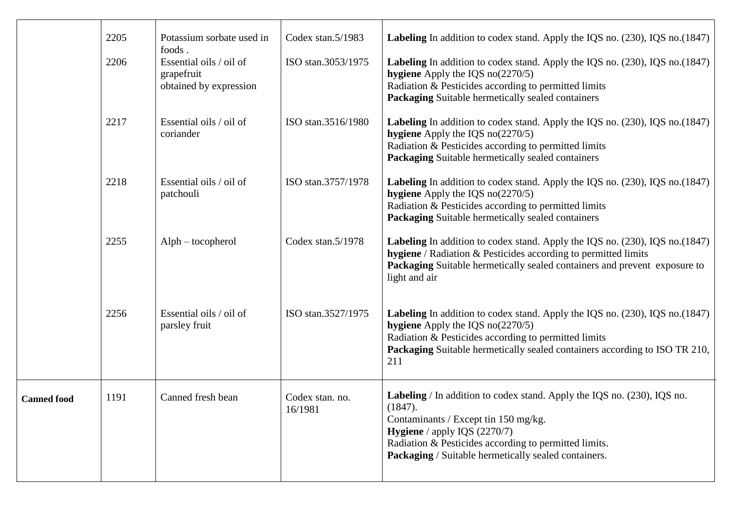|                    | 2205<br>2206 | Potassium sorbate used in<br>foods.<br>Essential oils / oil of<br>grapefruit<br>obtained by expression | Codex stan.5/1983<br>ISO stan.3053/1975 | Labeling In addition to codex stand. Apply the IQS no. (230), IQS no. (1847)<br><b>Labeling</b> In addition to codex stand. Apply the IQS no. (230), IQS no. (1847)<br>hygiene Apply the IQS $no(2270/5)$<br>Radiation & Pesticides according to permitted limits<br>Packaging Suitable hermetically sealed containers |
|--------------------|--------------|--------------------------------------------------------------------------------------------------------|-----------------------------------------|------------------------------------------------------------------------------------------------------------------------------------------------------------------------------------------------------------------------------------------------------------------------------------------------------------------------|
|                    | 2217         | Essential oils / oil of<br>coriander                                                                   | ISO stan.3516/1980                      | <b>Labeling</b> In addition to codex stand. Apply the IQS no. (230), IQS no. (1847)<br>hygiene Apply the IQS $no(2270/5)$<br>Radiation & Pesticides according to permitted limits<br>Packaging Suitable hermetically sealed containers                                                                                 |
|                    | 2218         | Essential oils / oil of<br>patchouli                                                                   | ISO stan.3757/1978                      | <b>Labeling</b> In addition to codex stand. Apply the IQS no. (230), IQS no. (1847)<br>hygiene Apply the IQS $no(2270/5)$<br>Radiation & Pesticides according to permitted limits<br>Packaging Suitable hermetically sealed containers                                                                                 |
|                    | 2255         | $Alph - to copherol$                                                                                   | Codex stan.5/1978                       | <b>Labeling</b> In addition to codex stand. Apply the IQS no. (230), IQS no. (1847)<br><b>hygiene</b> / Radiation & Pesticides according to permitted limits<br>Packaging Suitable hermetically sealed containers and prevent exposure to<br>light and air                                                             |
|                    | 2256         | Essential oils / oil of<br>parsley fruit                                                               | ISO stan.3527/1975                      | Labeling In addition to codex stand. Apply the IQS no. (230), IQS no. (1847)<br>hygiene Apply the IQS $no(2270/5)$<br>Radiation & Pesticides according to permitted limits<br><b>Packaging</b> Suitable hermetically sealed containers according to ISO TR 210,<br>211                                                 |
| <b>Canned food</b> | 1191         | Canned fresh bean                                                                                      | Codex stan. no.<br>16/1981              | <b>Labeling</b> / In addition to codex stand. Apply the IQS no. (230), IQS no.<br>(1847).<br>Contaminants / Except tin 150 mg/kg.<br><b>Hygiene</b> / apply IQS $(2270/7)$<br>Radiation & Pesticides according to permitted limits.<br>Packaging / Suitable hermetically sealed containers.                            |
|                    |              |                                                                                                        |                                         |                                                                                                                                                                                                                                                                                                                        |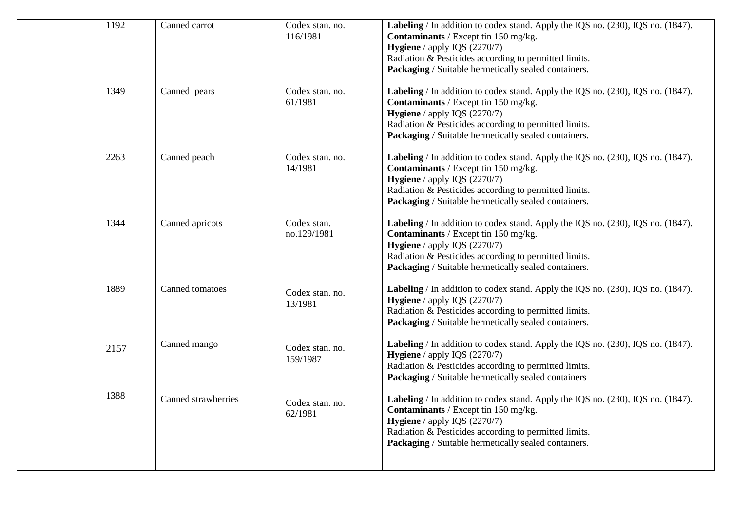| 1192 | Canned carrot       | Codex stan. no.<br>116/1981 | Labeling / In addition to codex stand. Apply the IQS no. (230), IQS no. (1847).<br>Contaminants / Except tin 150 mg/kg.<br>Hygiene / apply IQS (2270/7)<br>Radiation & Pesticides according to permitted limits.<br>Packaging / Suitable hermetically sealed containers. |
|------|---------------------|-----------------------------|--------------------------------------------------------------------------------------------------------------------------------------------------------------------------------------------------------------------------------------------------------------------------|
| 1349 | Canned pears        | Codex stan. no.<br>61/1981  | Labeling / In addition to codex stand. Apply the IQS no. (230), IQS no. (1847).<br>Contaminants / Except tin 150 mg/kg.<br>Hygiene / apply IQS (2270/7)<br>Radiation & Pesticides according to permitted limits.<br>Packaging / Suitable hermetically sealed containers. |
| 2263 | Canned peach        | Codex stan. no.<br>14/1981  | Labeling / In addition to codex stand. Apply the IQS no. (230), IQS no. (1847).<br>Contaminants / Except tin 150 mg/kg.<br>Hygiene / apply IQS (2270/7)<br>Radiation & Pesticides according to permitted limits.<br>Packaging / Suitable hermetically sealed containers. |
| 1344 | Canned apricots     | Codex stan.<br>no.129/1981  | Labeling / In addition to codex stand. Apply the IQS no. (230), IQS no. (1847).<br>Contaminants / Except tin 150 mg/kg.<br>Hygiene / apply IQS (2270/7)<br>Radiation & Pesticides according to permitted limits.<br>Packaging / Suitable hermetically sealed containers. |
| 1889 | Canned tomatoes     | Codex stan. no.<br>13/1981  | Labeling / In addition to codex stand. Apply the IQS no. (230), IQS no. (1847).<br>Hygiene / apply IQS (2270/7)<br>Radiation & Pesticides according to permitted limits.<br>Packaging / Suitable hermetically sealed containers.                                         |
| 2157 | Canned mango        | Codex stan. no.<br>159/1987 | Labeling / In addition to codex stand. Apply the IQS no. (230), IQS no. (1847).<br>Hygiene / apply IQS (2270/7)<br>Radiation & Pesticides according to permitted limits.<br>Packaging / Suitable hermetically sealed containers                                          |
| 1388 | Canned strawberries | Codex stan. no.<br>62/1981  | Labeling / In addition to codex stand. Apply the IQS no. (230), IQS no. (1847).<br>Contaminants / Except tin 150 mg/kg.<br>Hygiene / apply IQS (2270/7)<br>Radiation & Pesticides according to permitted limits.<br>Packaging / Suitable hermetically sealed containers. |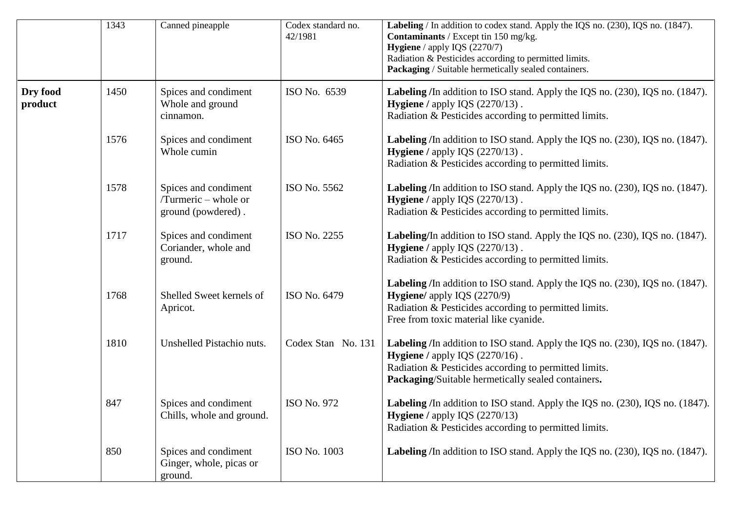|                     | 1343 | Canned pineapple                                                   | Codex standard no.<br>42/1981 | Labeling / In addition to codex stand. Apply the IQS no. (230), IQS no. (1847).<br>Contaminants / Except tin 150 mg/kg.<br>Hygiene / apply IQS (2270/7)<br>Radiation & Pesticides according to permitted limits.<br>Packaging / Suitable hermetically sealed containers. |
|---------------------|------|--------------------------------------------------------------------|-------------------------------|--------------------------------------------------------------------------------------------------------------------------------------------------------------------------------------------------------------------------------------------------------------------------|
| Dry food<br>product | 1450 | Spices and condiment<br>Whole and ground<br>cinnamon.              | ISO No. 6539                  | Labeling /In addition to ISO stand. Apply the IQS no. (230), IQS no. (1847).<br><b>Hygiene</b> / apply IQS $(2270/13)$ .<br>Radiation & Pesticides according to permitted limits.                                                                                        |
|                     | 1576 | Spices and condiment<br>Whole cumin                                | ISO No. 6465                  | <b>Labeling</b> /In addition to ISO stand. Apply the IQS no. (230), IQS no. (1847).<br>Hygiene / apply IQS (2270/13).<br>Radiation & Pesticides according to permitted limits.                                                                                           |
|                     | 1578 | Spices and condiment<br>/Turmeric – whole or<br>ground (powdered). | ISO No. 5562                  | Labeling /In addition to ISO stand. Apply the IQS no. (230), IQS no. (1847).<br>Hygiene / apply IQS (2270/13).<br>Radiation & Pesticides according to permitted limits.                                                                                                  |
|                     | 1717 | Spices and condiment<br>Coriander, whole and<br>ground.            | ISO No. 2255                  | Labeling/In addition to ISO stand. Apply the IQS no. (230), IQS no. (1847).<br>Hygiene / apply IQS (2270/13).<br>Radiation & Pesticides according to permitted limits.                                                                                                   |
|                     | 1768 | Shelled Sweet kernels of<br>Apricot.                               | ISO No. 6479                  | Labeling /In addition to ISO stand. Apply the IQS no. (230), IQS no. (1847).<br>Hygiene/ apply IQS (2270/9)<br>Radiation & Pesticides according to permitted limits.<br>Free from toxic material like cyanide.                                                           |
|                     | 1810 | Unshelled Pistachio nuts.                                          | Codex Stan No. 131            | Labeling /In addition to ISO stand. Apply the IQS no. (230), IQS no. (1847).<br><b>Hygiene</b> / apply IQS $(2270/16)$ .<br>Radiation & Pesticides according to permitted limits.<br>Packaging/Suitable hermetically sealed containers.                                  |
|                     | 847  | Spices and condiment<br>Chills, whole and ground.                  | ISO No. 972                   | <b>Labeling</b> /In addition to ISO stand. Apply the IQS no. (230), IQS no. (1847).<br><b>Hygiene</b> / apply IQS $(2270/13)$<br>Radiation & Pesticides according to permitted limits.                                                                                   |
|                     | 850  | Spices and condiment<br>Ginger, whole, picas or<br>ground.         | ISO No. 1003                  | Labeling /In addition to ISO stand. Apply the IQS no. (230), IQS no. (1847).                                                                                                                                                                                             |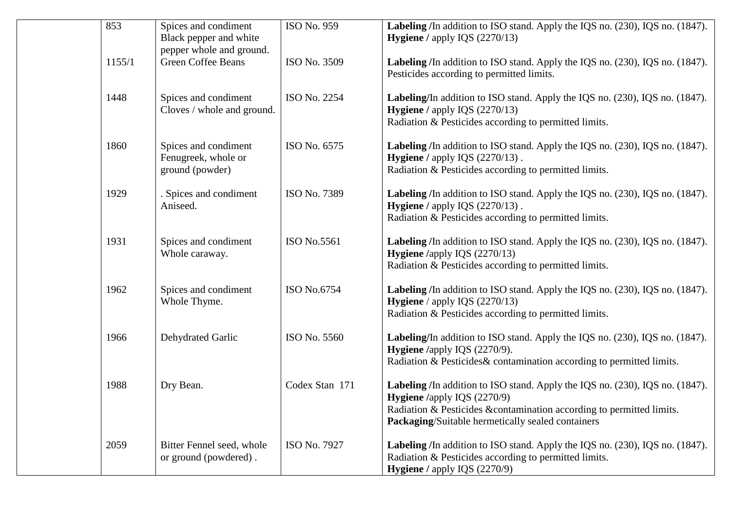| 853    | Spices and condiment<br>Black pepper and white<br>pepper whole and ground. | ISO No. 959    | Labeling /In addition to ISO stand. Apply the IQS no. (230), IQS no. (1847).<br>Hygiene / apply IQS (2270/13)                                                                                                                                    |
|--------|----------------------------------------------------------------------------|----------------|--------------------------------------------------------------------------------------------------------------------------------------------------------------------------------------------------------------------------------------------------|
| 1155/1 | <b>Green Coffee Beans</b>                                                  | ISO No. 3509   | Labeling /In addition to ISO stand. Apply the IQS no. (230), IQS no. (1847).<br>Pesticides according to permitted limits.                                                                                                                        |
| 1448   | Spices and condiment<br>Cloves / whole and ground.                         | ISO No. 2254   | Labeling/In addition to ISO stand. Apply the IQS no. (230), IQS no. (1847).<br><b>Hygiene</b> / apply IQS (2270/13)<br>Radiation & Pesticides according to permitted limits.                                                                     |
| 1860   | Spices and condiment<br>Fenugreek, whole or<br>ground (powder)             | ISO No. 6575   | Labeling /In addition to ISO stand. Apply the IQS no. (230), IQS no. (1847).<br>Hygiene / apply IQS (2270/13).<br>Radiation & Pesticides according to permitted limits.                                                                          |
| 1929   | . Spices and condiment<br>Aniseed.                                         | ISO No. 7389   | Labeling /In addition to ISO stand. Apply the IQS no. (230), IQS no. (1847).<br><b>Hygiene</b> / apply IQS $(2270/13)$ .<br>Radiation & Pesticides according to permitted limits.                                                                |
| 1931   | Spices and condiment<br>Whole caraway.                                     | ISO No.5561    | Labeling /In addition to ISO stand. Apply the IQS no. (230), IQS no. (1847).<br>Hygiene /apply IQS (2270/13)<br>Radiation & Pesticides according to permitted limits.                                                                            |
| 1962   | Spices and condiment<br>Whole Thyme.                                       | ISO No.6754    | Labeling /In addition to ISO stand. Apply the IQS no. (230), IQS no. (1847).<br><b>Hygiene</b> / apply IQS $(2270/13)$<br>Radiation & Pesticides according to permitted limits.                                                                  |
| 1966   | Dehydrated Garlic                                                          | ISO No. 5560   | Labeling/In addition to ISO stand. Apply the IQS no. (230), IQS no. (1847).<br>Hygiene /apply IQS (2270/9).<br>Radiation & Pesticides & contamination according to permitted limits.                                                             |
| 1988   | Dry Bean.                                                                  | Codex Stan 171 | Labeling /In addition to ISO stand. Apply the IQS no. (230), IQS no. (1847).<br>Hygiene /apply IQS (2270/9)<br>Radiation & Pesticides & contamination according to permitted limits.<br><b>Packaging/Suitable hermetically sealed containers</b> |
| 2059   | Bitter Fennel seed, whole<br>or ground (powdered).                         | ISO No. 7927   | Labeling /In addition to ISO stand. Apply the IQS no. (230), IQS no. (1847).<br>Radiation & Pesticides according to permitted limits.<br><b>Hygiene</b> / apply IQS (2270/9)                                                                     |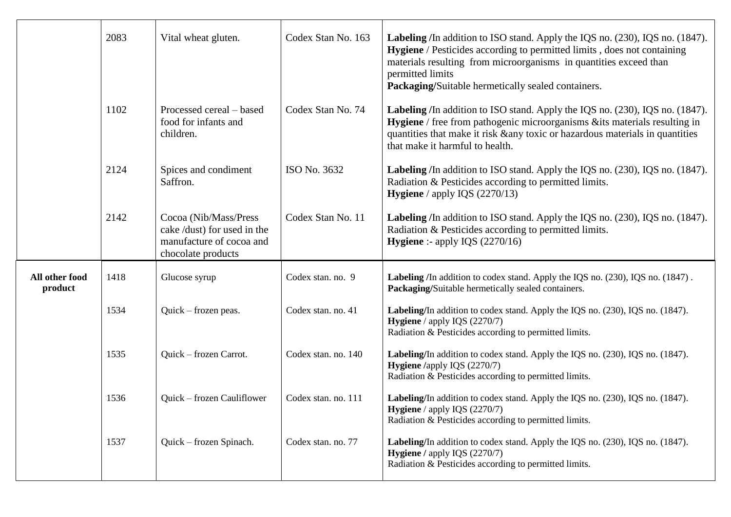|                           | 2083 | Vital wheat gluten.                                                                                    | Codex Stan No. 163  | <b>Labeling</b> /In addition to ISO stand. Apply the IQS no. (230), IQS no. (1847).<br>Hygiene / Pesticides according to permitted limits, does not containing<br>materials resulting from microorganisms in quantities exceed than<br>permitted limits<br>Packaging/Suitable hermetically sealed containers. |
|---------------------------|------|--------------------------------------------------------------------------------------------------------|---------------------|---------------------------------------------------------------------------------------------------------------------------------------------------------------------------------------------------------------------------------------------------------------------------------------------------------------|
|                           | 1102 | Processed cereal – based<br>food for infants and<br>children.                                          | Codex Stan No. 74   | Labeling /In addition to ISO stand. Apply the IQS no. (230), IQS no. (1847).<br><b>Hygiene</b> / free from pathogenic microorganisms & its materials resulting in<br>quantities that make it risk & any toxic or hazardous materials in quantities<br>that make it harmful to health.                         |
|                           | 2124 | Spices and condiment<br>Saffron.                                                                       | ISO No. 3632        | <b>Labeling</b> /In addition to ISO stand. Apply the IQS no. (230), IQS no. (1847).<br>Radiation & Pesticides according to permitted limits.<br><b>Hygiene</b> / apply IQS $(2270/13)$                                                                                                                        |
|                           | 2142 | Cocoa (Nib/Mass/Press<br>cake /dust) for used in the<br>manufacture of cocoa and<br>chocolate products | Codex Stan No. 11   | Labeling /In addition to ISO stand. Apply the IQS no. (230), IQS no. (1847).<br>Radiation & Pesticides according to permitted limits.<br><b>Hygiene</b> :- apply IQS $(2270/16)$                                                                                                                              |
| All other food<br>product | 1418 | Glucose syrup                                                                                          | Codex stan. no. 9   | Labeling /In addition to codex stand. Apply the IQS no. (230), IQS no. (1847).<br>Packaging/Suitable hermetically sealed containers.                                                                                                                                                                          |
|                           | 1534 | Quick – frozen peas.                                                                                   | Codex stan. no. 41  | Labeling/In addition to codex stand. Apply the IQS no. (230), IQS no. (1847).<br><b>Hygiene</b> / apply IQS $(2270/7)$<br>Radiation & Pesticides according to permitted limits.                                                                                                                               |
|                           | 1535 | Quick – frozen Carrot.                                                                                 | Codex stan. no. 140 | Labeling/In addition to codex stand. Apply the IQS no. (230), IQS no. (1847).<br>Hygiene /apply IQS (2270/7)<br>Radiation & Pesticides according to permitted limits.                                                                                                                                         |
|                           | 1536 | <b>Ouick – frozen Cauliflower</b>                                                                      | Codex stan. no. 111 | Labeling/In addition to codex stand. Apply the IQS no. (230), IQS no. (1847).<br>Hygiene / apply IQS (2270/7)<br>Radiation & Pesticides according to permitted limits.                                                                                                                                        |
|                           | 1537 | Quick – frozen Spinach.                                                                                | Codex stan. no. 77  | Labeling/In addition to codex stand. Apply the IQS no. (230), IQS no. (1847).<br><b>Hygiene</b> / apply IQS $(2270/7)$<br>Radiation & Pesticides according to permitted limits.                                                                                                                               |